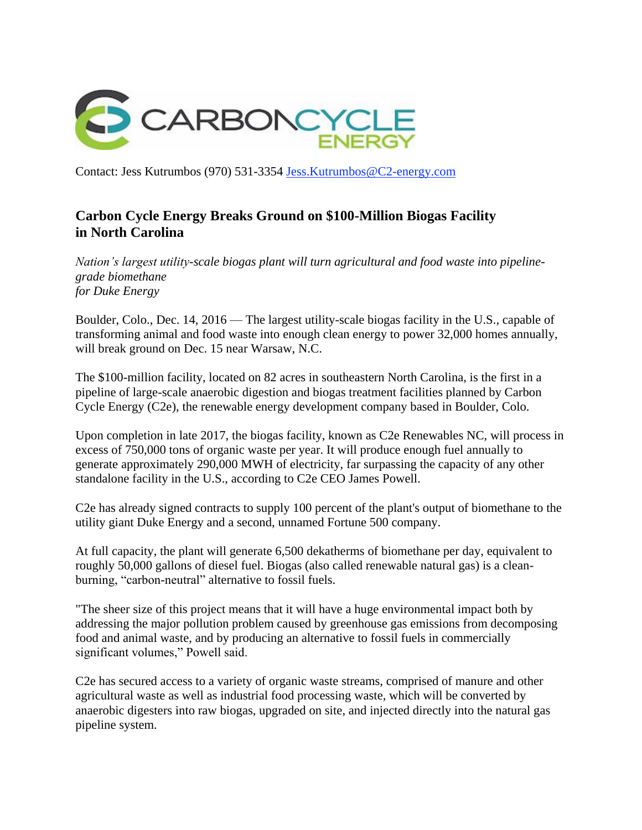

Contact: Jess Kutrumbos (970) 531-3354 [Jess.Kutrumbos@C2-energy.com](mailto:Jess.Kutrumbos@C2-energy.com)

## **Carbon Cycle Energy Breaks Ground on \$100-Million Biogas Facility in North Carolina**

*Nation's largest utility-scale biogas plant will turn agricultural and food waste into pipelinegrade biomethane for Duke Energy*

Boulder, Colo., Dec. 14, 2016 — The largest utility-scale biogas facility in the U.S., capable of transforming animal and food waste into enough clean energy to power 32,000 homes annually, will break ground on Dec. 15 near Warsaw, N.C.

The \$100-million facility, located on 82 acres in southeastern North Carolina, is the first in a pipeline of large-scale anaerobic digestion and biogas treatment facilities planned by Carbon Cycle Energy (C2e), the renewable energy development company based in Boulder, Colo.

Upon completion in late 2017, the biogas facility, known as C2e Renewables NC, will process in excess of 750,000 tons of organic waste per year. It will produce enough fuel annually to generate approximately 290,000 MWH of electricity, far surpassing the capacity of any other standalone facility in the U.S., according to C2e CEO James Powell.

C2e has already signed contracts to supply 100 percent of the plant's output of biomethane to the utility giant Duke Energy and a second, unnamed Fortune 500 company.

At full capacity, the plant will generate 6,500 dekatherms of biomethane per day, equivalent to roughly 50,000 gallons of diesel fuel. Biogas (also called renewable natural gas) is a cleanburning, "carbon-neutral" alternative to fossil fuels.

"The sheer size of this project means that it will have a huge environmental impact both by addressing the major pollution problem caused by greenhouse gas emissions from decomposing food and animal waste, and by producing an alternative to fossil fuels in commercially significant volumes," Powell said.

C2e has secured access to a variety of organic waste streams, comprised of manure and other agricultural waste as well as industrial food processing waste, which will be converted by anaerobic digesters into raw biogas, upgraded on site, and injected directly into the natural gas pipeline system.